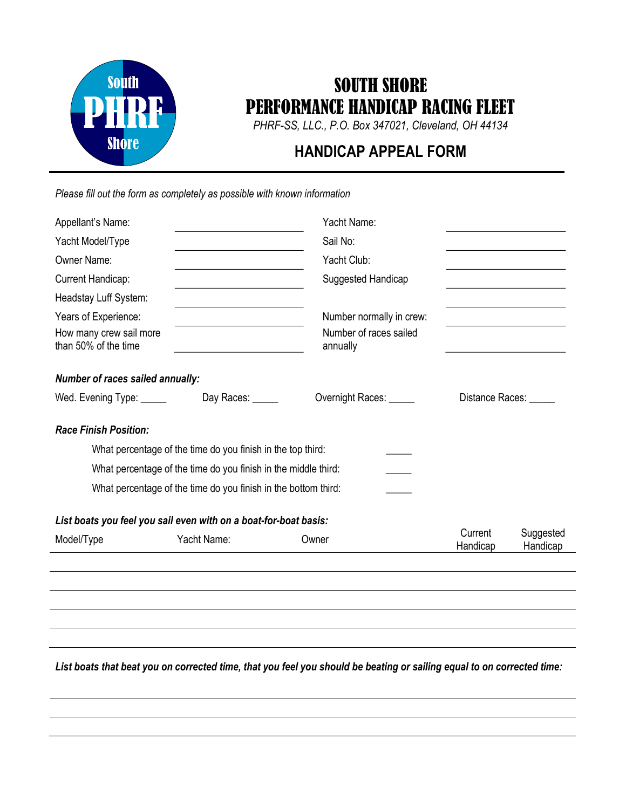

## SOUTH SHORE PERFORMANCE HANDICAP RACING FLEET

PHRF-SS, LLC., P.O. Box 347021, Cleveland, OH 44134

## HANDICAP APPEAL FORM

Please fill out the form as completely as possible with known information

| Appellant's Name:                                                |                                                                | Yacht Name:                        |                     |                       |
|------------------------------------------------------------------|----------------------------------------------------------------|------------------------------------|---------------------|-----------------------|
| Yacht Model/Type                                                 |                                                                | Sail No:                           |                     |                       |
| Owner Name:                                                      |                                                                | Yacht Club:                        |                     |                       |
| Current Handicap:                                                |                                                                | Suggested Handicap                 |                     |                       |
| Headstay Luff System:                                            |                                                                |                                    |                     |                       |
| Years of Experience:                                             |                                                                | Number normally in crew:           |                     |                       |
| How many crew sail more<br>than 50% of the time                  |                                                                | Number of races sailed<br>annually |                     |                       |
| <b>Number of races sailed annually:</b>                          |                                                                |                                    |                     |                       |
| Wed. Evening Type: ______                                        | Day Races: _____                                               | Overnight Races: ______            | Distance Races:     |                       |
| <b>Race Finish Position:</b>                                     |                                                                |                                    |                     |                       |
|                                                                  | What percentage of the time do you finish in the top third:    |                                    |                     |                       |
|                                                                  | What percentage of the time do you finish in the middle third: |                                    |                     |                       |
|                                                                  | What percentage of the time do you finish in the bottom third: |                                    |                     |                       |
| List boats you feel you sail even with on a boat-for-boat basis: |                                                                |                                    |                     |                       |
| Model/Type                                                       | Yacht Name:                                                    | Owner                              | Current<br>Handicap | Suggested<br>Handicap |
|                                                                  |                                                                |                                    |                     |                       |
|                                                                  |                                                                |                                    |                     |                       |
|                                                                  |                                                                |                                    |                     |                       |
|                                                                  |                                                                |                                    |                     |                       |

List boats that beat you on corrected time, that you feel you should be beating or sailing equal to on corrected time: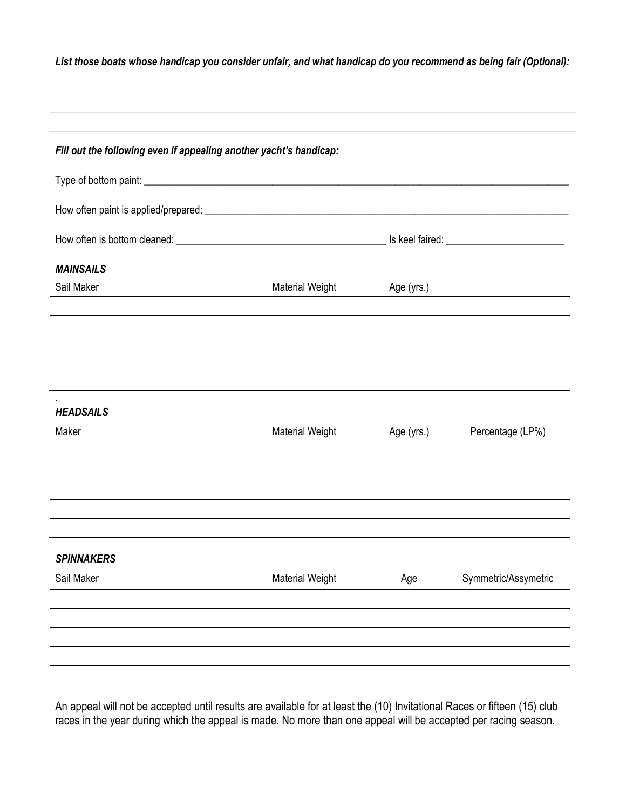| List those boats whose handicap you consider unfair, and what handicap do you recommend as being fair (Optional): |  |  |
|-------------------------------------------------------------------------------------------------------------------|--|--|
|                                                                                                                   |  |  |

| Fill out the following even if appealing another yacht's handicap: |                        |            |                                                         |
|--------------------------------------------------------------------|------------------------|------------|---------------------------------------------------------|
|                                                                    |                        |            |                                                         |
|                                                                    |                        |            |                                                         |
|                                                                    |                        |            |                                                         |
| <b>MAINSAILS</b>                                                   |                        |            |                                                         |
| Sail Maker                                                         | <b>Material Weight</b> | Age (yrs.) | <u> 1989 - Johann Barbara, martin amerikan basar da</u> |
|                                                                    |                        |            |                                                         |
| <b>HEADSAILS</b>                                                   |                        |            |                                                         |
| Maker                                                              | <b>Material Weight</b> | Age (yrs.) | Percentage (LP%)                                        |
|                                                                    |                        |            |                                                         |
| <b>SPINNAKERS</b>                                                  |                        |            |                                                         |
| Sail Maker                                                         | <b>Material Weight</b> | Age        | Symmetric/Assymetric                                    |
|                                                                    |                        |            |                                                         |
|                                                                    |                        |            |                                                         |

An appeal will not be accepted until results are available for at least the (10) Invitational Races or fifteen (15) club races in the year during which the appeal is made. No more than one appeal will be accepted per racing season.